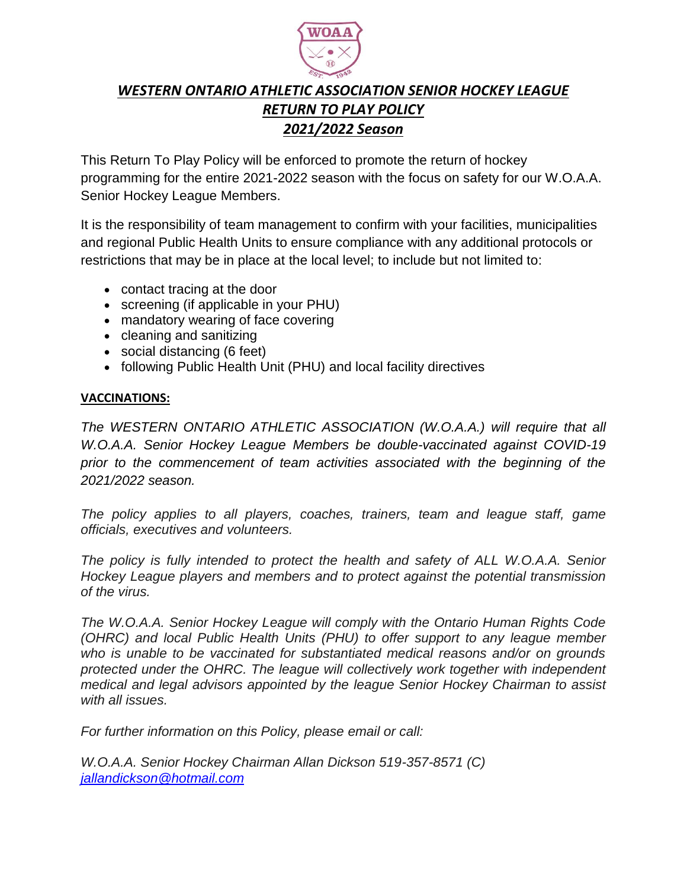

# *WESTERN ONTARIO ATHLETIC ASSOCIATION SENIOR HOCKEY LEAGUE RETURN TO PLAY POLICY 2021/2022 Season*

This Return To Play Policy will be enforced to promote the return of hockey programming for the entire 2021-2022 season with the focus on safety for our W.O.A.A. Senior Hockey League Members.

It is the responsibility of team management to confirm with your facilities, municipalities and regional Public Health Units to ensure compliance with any additional protocols or restrictions that may be in place at the local level; to include but not limited to:

- contact tracing at the door
- screening (if applicable in your PHU)
- mandatory wearing of face covering
- cleaning and sanitizing
- social distancing (6 feet)
- following Public Health Unit (PHU) and local facility directives

# **VACCINATIONS:**

*The WESTERN ONTARIO ATHLETIC ASSOCIATION (W.O.A.A.) will require that all W.O.A.A. Senior Hockey League Members be double-vaccinated against COVID-19 prior to the commencement of team activities associated with the beginning of the 2021/2022 season.*

*The policy applies to all players, coaches, trainers, team and league staff, game officials, executives and volunteers.*

*The policy is fully intended to protect the health and safety of ALL W.O.A.A. Senior Hockey League players and members and to protect against the potential transmission of the virus.*

*The W.O.A.A. Senior Hockey League will comply with the Ontario Human Rights Code (OHRC) and local Public Health Units (PHU) to offer support to any league member who is unable to be vaccinated for substantiated medical reasons and/or on grounds protected under the OHRC. The league will collectively work together with independent medical and legal advisors appointed by the league Senior Hockey Chairman to assist with all issues.*

*For further information on this Policy, please email or call:*

*W.O.A.A. Senior Hockey Chairman Allan Dickson 519-357-8571 (C) [jallandickson@hotmail.com](mailto:jallandickson@hotmail.com)*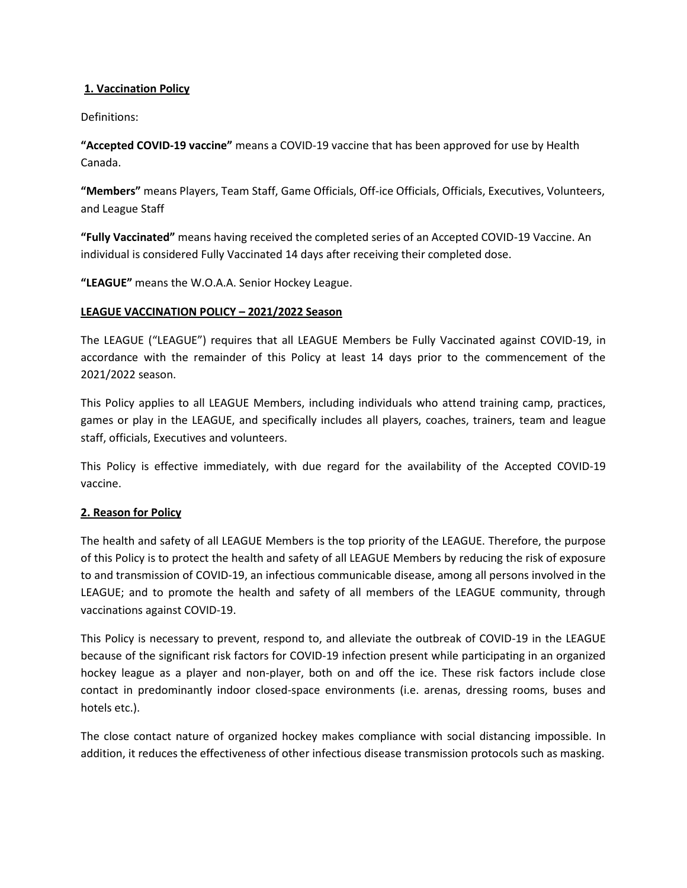# **1. Vaccination Policy**

Definitions:

**"Accepted COVID-19 vaccine"** means a COVID-19 vaccine that has been approved for use by Health Canada.

**"Members"** means Players, Team Staff, Game Officials, Off-ice Officials, Officials, Executives, Volunteers, and League Staff

**"Fully Vaccinated"** means having received the completed series of an Accepted COVID-19 Vaccine. An individual is considered Fully Vaccinated 14 days after receiving their completed dose.

**"LEAGUE"** means the W.O.A.A. Senior Hockey League.

# **LEAGUE VACCINATION POLICY – 2021/2022 Season**

The LEAGUE ("LEAGUE") requires that all LEAGUE Members be Fully Vaccinated against COVID-19, in accordance with the remainder of this Policy at least 14 days prior to the commencement of the 2021/2022 season.

This Policy applies to all LEAGUE Members, including individuals who attend training camp, practices, games or play in the LEAGUE, and specifically includes all players, coaches, trainers, team and league staff, officials, Executives and volunteers.

This Policy is effective immediately, with due regard for the availability of the Accepted COVID-19 vaccine.

#### **2. Reason for Policy**

The health and safety of all LEAGUE Members is the top priority of the LEAGUE. Therefore, the purpose of this Policy is to protect the health and safety of all LEAGUE Members by reducing the risk of exposure to and transmission of COVID-19, an infectious communicable disease, among all persons involved in the LEAGUE; and to promote the health and safety of all members of the LEAGUE community, through vaccinations against COVID-19.

This Policy is necessary to prevent, respond to, and alleviate the outbreak of COVID-19 in the LEAGUE because of the significant risk factors for COVID-19 infection present while participating in an organized hockey league as a player and non-player, both on and off the ice. These risk factors include close contact in predominantly indoor closed-space environments (i.e. arenas, dressing rooms, buses and hotels etc.).

The close contact nature of organized hockey makes compliance with social distancing impossible. In addition, it reduces the effectiveness of other infectious disease transmission protocols such as masking.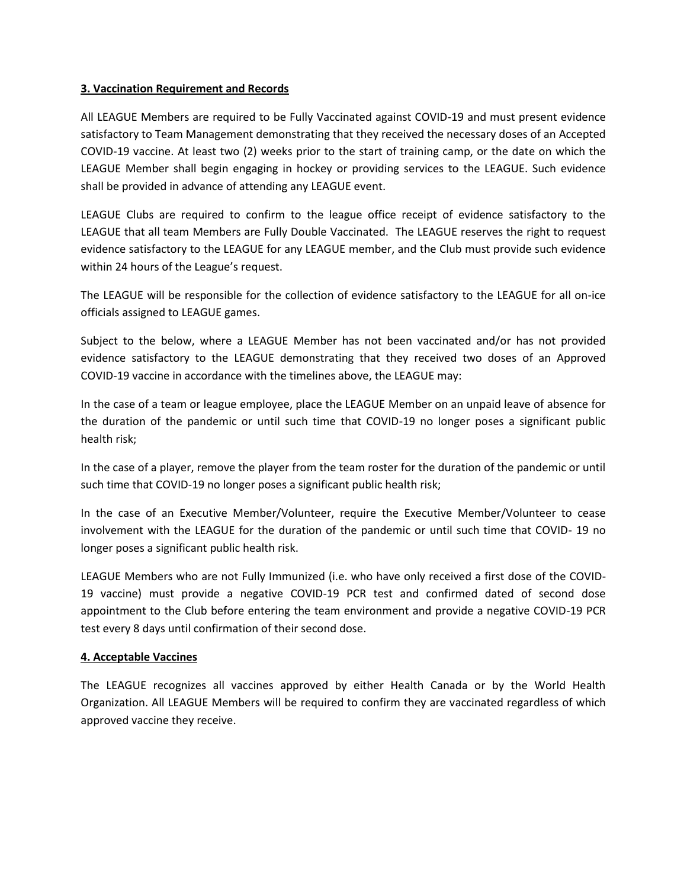#### **3. Vaccination Requirement and Records**

All LEAGUE Members are required to be Fully Vaccinated against COVID-19 and must present evidence satisfactory to Team Management demonstrating that they received the necessary doses of an Accepted COVID-19 vaccine. At least two (2) weeks prior to the start of training camp, or the date on which the LEAGUE Member shall begin engaging in hockey or providing services to the LEAGUE. Such evidence shall be provided in advance of attending any LEAGUE event.

LEAGUE Clubs are required to confirm to the league office receipt of evidence satisfactory to the LEAGUE that all team Members are Fully Double Vaccinated. The LEAGUE reserves the right to request evidence satisfactory to the LEAGUE for any LEAGUE member, and the Club must provide such evidence within 24 hours of the League's request.

The LEAGUE will be responsible for the collection of evidence satisfactory to the LEAGUE for all on-ice officials assigned to LEAGUE games.

Subject to the below, where a LEAGUE Member has not been vaccinated and/or has not provided evidence satisfactory to the LEAGUE demonstrating that they received two doses of an Approved COVID-19 vaccine in accordance with the timelines above, the LEAGUE may:

In the case of a team or league employee, place the LEAGUE Member on an unpaid leave of absence for the duration of the pandemic or until such time that COVID-19 no longer poses a significant public health risk;

In the case of a player, remove the player from the team roster for the duration of the pandemic or until such time that COVID-19 no longer poses a significant public health risk;

In the case of an Executive Member/Volunteer, require the Executive Member/Volunteer to cease involvement with the LEAGUE for the duration of the pandemic or until such time that COVID- 19 no longer poses a significant public health risk.

LEAGUE Members who are not Fully Immunized (i.e. who have only received a first dose of the COVID-19 vaccine) must provide a negative COVID-19 PCR test and confirmed dated of second dose appointment to the Club before entering the team environment and provide a negative COVID-19 PCR test every 8 days until confirmation of their second dose.

#### **4. Acceptable Vaccines**

The LEAGUE recognizes all vaccines approved by either Health Canada or by the World Health Organization. All LEAGUE Members will be required to confirm they are vaccinated regardless of which approved vaccine they receive.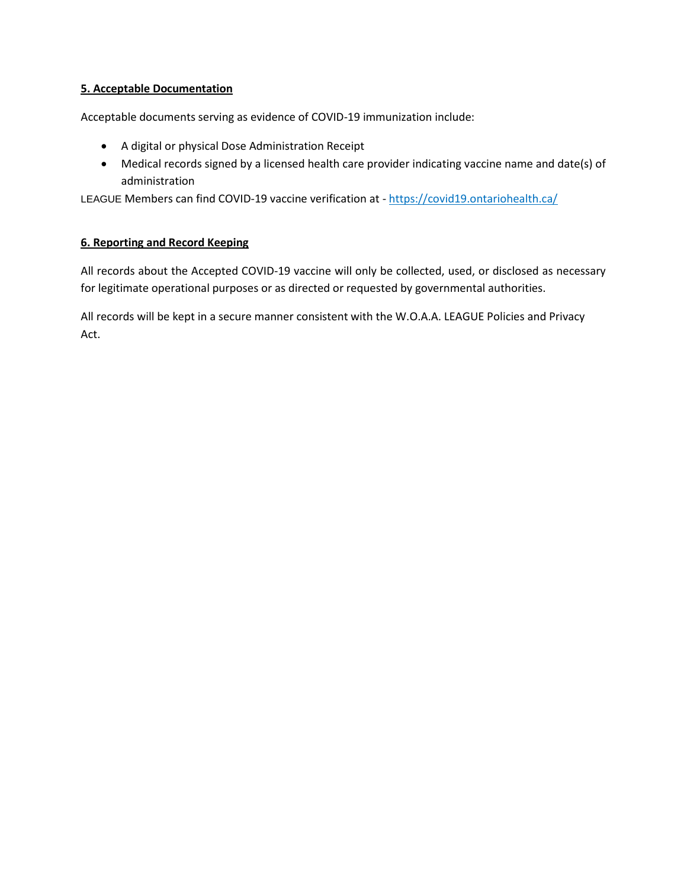# **5. Acceptable Documentation**

Acceptable documents serving as evidence of COVID-19 immunization include:

- A digital or physical Dose Administration Receipt
- Medical records signed by a licensed health care provider indicating vaccine name and date(s) of administration

LEAGUE Members can find COVID-19 vaccine verification at - <https://covid19.ontariohealth.ca/>

# **6. Reporting and Record Keeping**

All records about the Accepted COVID-19 vaccine will only be collected, used, or disclosed as necessary for legitimate operational purposes or as directed or requested by governmental authorities.

All records will be kept in a secure manner consistent with the W.O.A.A. LEAGUE Policies and Privacy Act.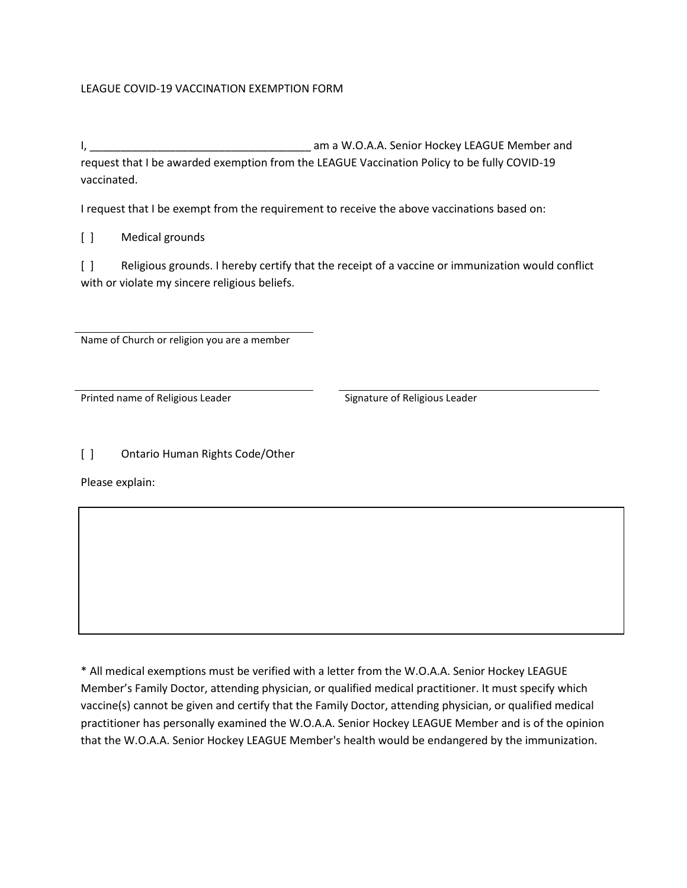# LEAGUE COVID-19 VACCINATION EXEMPTION FORM

I, \_\_\_\_\_\_\_\_\_\_\_\_\_\_\_\_\_\_\_\_\_\_\_\_\_\_\_\_\_\_\_\_\_\_\_\_ am a W.O.A.A. Senior Hockey LEAGUE Member and request that I be awarded exemption from the LEAGUE Vaccination Policy to be fully COVID-19 vaccinated.

I request that I be exempt from the requirement to receive the above vaccinations based on:

[ ] Medical grounds

[ ] Religious grounds. I hereby certify that the receipt of a vaccine or immunization would conflict with or violate my sincere religious beliefs.

Name of Church or religion you are a member

Printed name of Religious Leader Signature of Religious Leader

[ ] Ontario Human Rights Code/Other

Please explain:

\* All medical exemptions must be verified with a letter from the W.O.A.A. Senior Hockey LEAGUE Member's Family Doctor, attending physician, or qualified medical practitioner. It must specify which vaccine(s) cannot be given and certify that the Family Doctor, attending physician, or qualified medical practitioner has personally examined the W.O.A.A. Senior Hockey LEAGUE Member and is of the opinion that the W.O.A.A. Senior Hockey LEAGUE Member's health would be endangered by the immunization.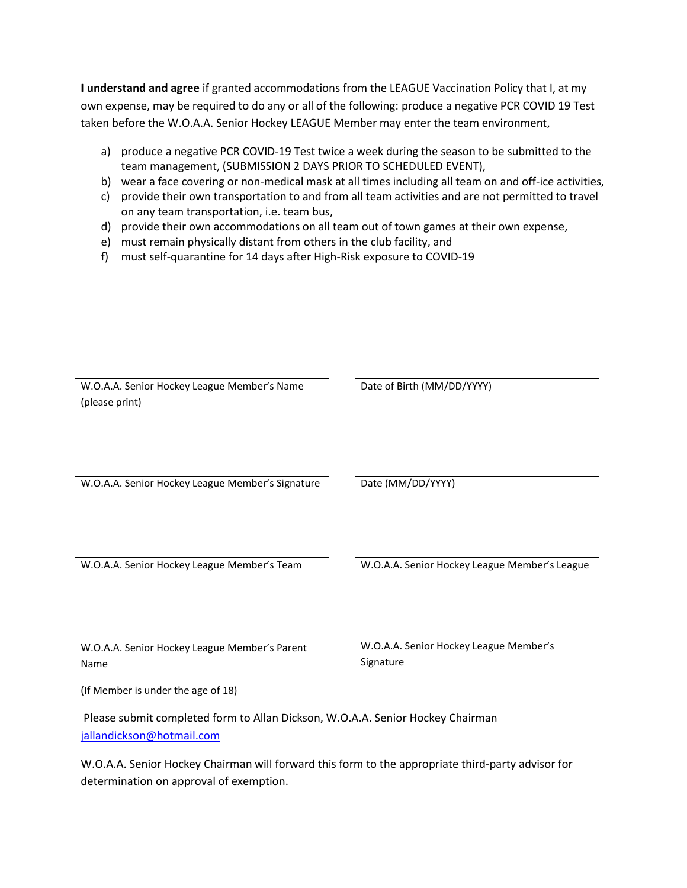**I understand and agree** if granted accommodations from the LEAGUE Vaccination Policy that I, at my own expense, may be required to do any or all of the following: produce a negative PCR COVID 19 Test taken before the W.O.A.A. Senior Hockey LEAGUE Member may enter the team environment,

- a) produce a negative PCR COVID-19 Test twice a week during the season to be submitted to the team management, (SUBMISSION 2 DAYS PRIOR TO SCHEDULED EVENT),
- b) wear a face covering or non-medical mask at all times including all team on and off-ice activities,
- c) provide their own transportation to and from all team activities and are not permitted to travel on any team transportation, i.e. team bus,
- d) provide their own accommodations on all team out of town games at their own expense,
- e) must remain physically distant from others in the club facility, and
- f) must self-quarantine for 14 days after High-Risk exposure to COVID-19

| W.O.A.A. Senior Hockey League Member's Name                                                       | Date of Birth (MM/DD/YYYY)                    |  |
|---------------------------------------------------------------------------------------------------|-----------------------------------------------|--|
| (please print)                                                                                    |                                               |  |
|                                                                                                   |                                               |  |
|                                                                                                   |                                               |  |
|                                                                                                   |                                               |  |
|                                                                                                   |                                               |  |
|                                                                                                   |                                               |  |
|                                                                                                   |                                               |  |
| W.O.A.A. Senior Hockey League Member's Signature                                                  | Date (MM/DD/YYYY)                             |  |
|                                                                                                   |                                               |  |
|                                                                                                   |                                               |  |
|                                                                                                   |                                               |  |
|                                                                                                   |                                               |  |
|                                                                                                   |                                               |  |
| W.O.A.A. Senior Hockey League Member's Team                                                       | W.O.A.A. Senior Hockey League Member's League |  |
|                                                                                                   |                                               |  |
|                                                                                                   |                                               |  |
|                                                                                                   |                                               |  |
|                                                                                                   |                                               |  |
|                                                                                                   |                                               |  |
| W.O.A.A. Senior Hockey League Member's Parent                                                     | W.O.A.A. Senior Hockey League Member's        |  |
|                                                                                                   | Signature                                     |  |
| Name                                                                                              |                                               |  |
|                                                                                                   |                                               |  |
| (If Member is under the age of 18)                                                                |                                               |  |
|                                                                                                   |                                               |  |
| Please submit completed form to Allan Dickson, W.O.A.A. Senior Hockey Chairman                    |                                               |  |
| jallandickson@hotmail.com                                                                         |                                               |  |
|                                                                                                   |                                               |  |
| W.O.A.A. Senior Hockey Chairman will forward this form to the appropriate third-party advisor for |                                               |  |
|                                                                                                   |                                               |  |

determination on approval of exemption.